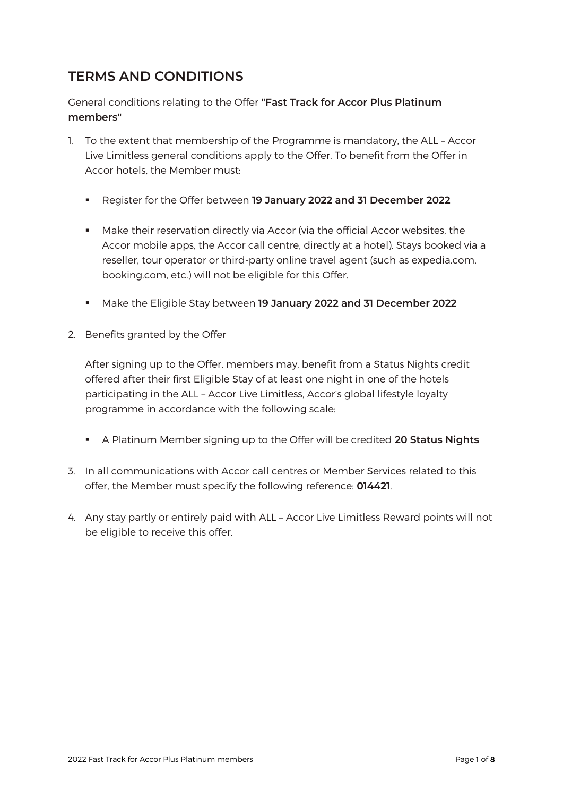## **TERMS AND CONDITIONS**

General conditions relating to the Offer **"Fast Track for Accor Plus Platinum members"**

- 1. To the extent that membership of the Programme is mandatory, the ALL Accor Live Limitless general conditions apply to the Offer. To benefit from the Offer in Accor hotels, the Member must:
	- Register for the Offer between **19 January 2022 and 31 December 2022**
	- **■** Make their reservation directly via Accor (via the official Accor websites, the Accor mobile apps, the Accor call centre, directly at a hotel). Stays booked via a reseller, tour operator or third-party online travel agent (such as expedia.com, booking.com, etc.) will not be eligible for this Offer.
	- Make the Eligible Stay between **19 January 2022 and 31 December 2022**
- 2. Benefits granted by the Offer

After signing up to the Offer, members may, benefit from a Status Nights credit offered after their first Eligible Stay of at least one night in one of the hotels participating in the ALL – Accor Live Limitless, Accor's global lifestyle loyalty programme in accordance with the following scale:

- A Platinum Member signing up to the Offer will be credited **20 Status Nights**
- 3. In all communications with Accor call centres or Member Services related to this offer, the Member must specify the following reference: **014421**.
- 4. Any stay partly or entirely paid with ALL Accor Live Limitless Reward points will not be eligible to receive this offer.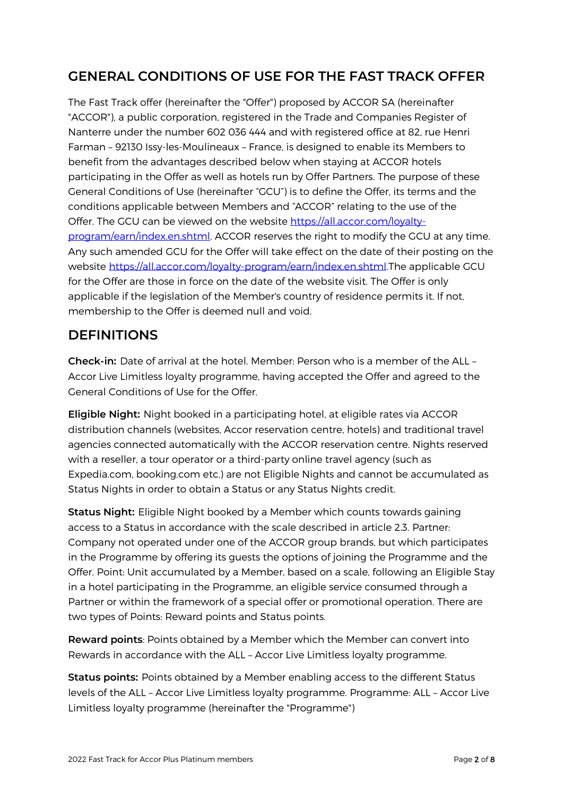## **GENERAL CONDITIONS OF USE FOR THE FAST TRACK OFFER**

The Fast Track offer (hereinafter the "Offer") proposed by ACCOR SA (hereinafter "ACCOR"), a public corporation, registered in the Trade and Companies Register of Nanterre under the number 602 036 444 and with registered office at 82, rue Henri Farman – 92130 Issy-les-Moulineaux – France, is designed to enable its Members to benefit from the advantages described below when staying at ACCOR hotels participating in the Offer as well as hotels run by Offer Partners. The purpose of these General Conditions of Use (hereinafter "GCU") is to define the Offer, its terms and the conditions applicable between Members and "ACCOR" relating to the use of the Offer. The GCU can be viewed on the website [https://all.accor.com/loyalty](https://all.accor.com/loyalty-program/earn/index.en.shtml)[program/earn/index.en.shtml.](https://all.accor.com/loyalty-program/earn/index.en.shtml) ACCOR reserves the right to modify the GCU at any time. Any such amended GCU for the Offer will take effect on the date of their posting on the website [https://all.accor.com/loyalty-program/earn/index.en.shtml.T](https://all.accor.com/loyalty-program/earn/index.en.shtml)he applicable GCU for the Offer are those in force on the date of the website visit. The Offer is only applicable if the legislation of the Member's country of residence permits it. If not, membership to the Offer is deemed null and void.

#### **DEFINITIONS**

**Check-in:** Date of arrival at the hotel. Member: Person who is a member of the ALL – Accor Live Limitless loyalty programme, having accepted the Offer and agreed to the General Conditions of Use for the Offer.

**Eligible Night:** Night booked in a participating hotel, at eligible rates via ACCOR distribution channels (websites, Accor reservation centre, hotels) and traditional travel agencies connected automatically with the ACCOR reservation centre. Nights reserved with a reseller, a tour operator or a third-party online travel agency (such as Expedia.com, booking.com etc.) are not Eligible Nights and cannot be accumulated as Status Nights in order to obtain a Status or any Status Nights credit.

**Status Night:** Eligible Night booked by a Member which counts towards gaining access to a Status in accordance with the scale described in article 2.3. Partner: Company not operated under one of the ACCOR group brands, but which participates in the Programme by offering its guests the options of joining the Programme and the Offer. Point: Unit accumulated by a Member, based on a scale, following an Eligible Stay in a hotel participating in the Programme, an eligible service consumed through a Partner or within the framework of a special offer or promotional operation. There are two types of Points: Reward points and Status points.

**Reward points**: Points obtained by a Member which the Member can convert into Rewards in accordance with the ALL – Accor Live Limitless loyalty programme.

**Status points:** Points obtained by a Member enabling access to the different Status levels of the ALL – Accor Live Limitless loyalty programme. Programme: ALL – Accor Live Limitless loyalty programme (hereinafter the "Programme")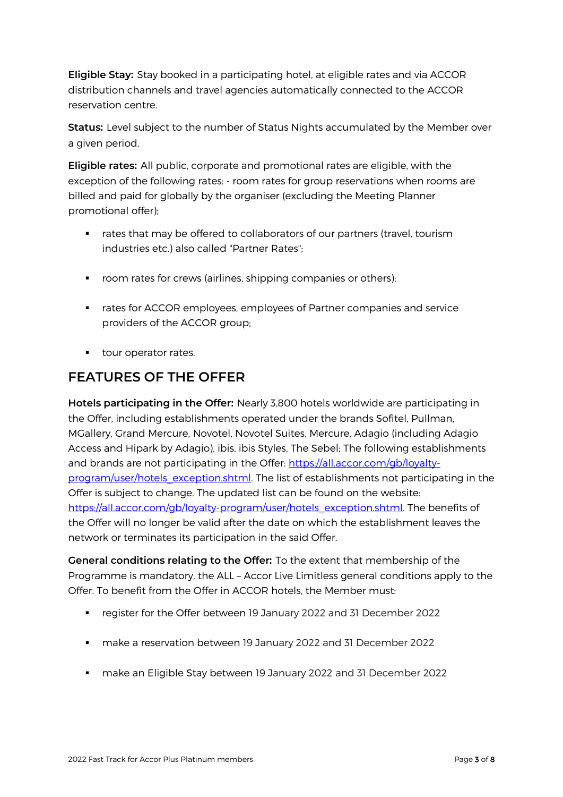**Eligible Stay:** Stay booked in a participating hotel, at eligible rates and via ACCOR distribution channels and travel agencies automatically connected to the ACCOR reservation centre.

**Status:** Level subject to the number of Status Nights accumulated by the Member over a given period.

**Eligible rates:** All public, corporate and promotional rates are eligible, with the exception of the following rates: - room rates for group reservations when rooms are billed and paid for globally by the organiser (excluding the Meeting Planner promotional offer);

- rates that may be offered to collaborators of our partners (travel, tourism industries etc.) also called "Partner Rates";
- room rates for crews (airlines, shipping companies or others);
- **•** rates for ACCOR employees, employees of Partner companies and service providers of the ACCOR group;
- tour operator rates.

#### **FEATURES OF THE OFFER**

**Hotels participating in the Offer:** Nearly 3,800 hotels worldwide are participating in the Offer, including establishments operated under the brands Sofitel, Pullman, MGallery, Grand Mercure, Novotel, Novotel Suites, Mercure, Adagio (including Adagio Access and Hipark by Adagio), ibis, ibis Styles, The Sebel; The following establishments and brands are not participating in the Offer: [https://all.accor.com/gb/loyalty](https://all.accor.com/gb/loyalty-program/user/hotels_exception.shtml)[program/user/hotels\\_exception.shtml.](https://all.accor.com/gb/loyalty-program/user/hotels_exception.shtml) The list of establishments not participating in the Offer is subject to change. The updated list can be found on the website: [https://all.accor.com/gb/loyalty-program/user/hotels\\_exception.shtml.](https://all.accor.com/gb/loyalty-program/user/hotels_exception.shtml) The benefits of the Offer will no longer be valid after the date on which the establishment leaves the network or terminates its participation in the said Offer.

**General conditions relating to the Offer:** To the extent that membership of the Programme is mandatory, the ALL – Accor Live Limitless general conditions apply to the Offer. To benefit from the Offer in ACCOR hotels, the Member must:

- register for the Offer between 19 January 2022 and 31 December 2022
- make a reservation between 19 January 2022 and 31 December 2022
- make an Eligible Stay between 19 January 2022 and 31 December 2022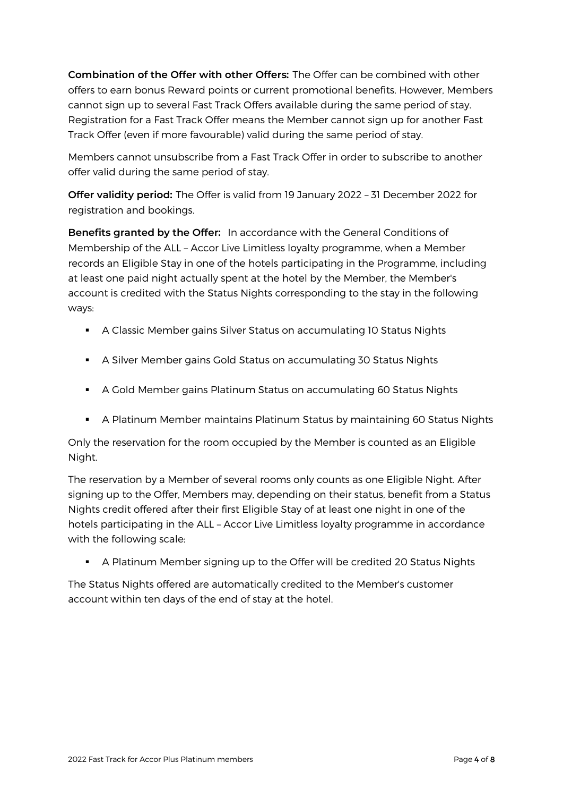**Combination of the Offer with other Offers:** The Offer can be combined with other offers to earn bonus Reward points or current promotional benefits. However, Members cannot sign up to several Fast Track Offers available during the same period of stay. Registration for a Fast Track Offer means the Member cannot sign up for another Fast Track Offer (even if more favourable) valid during the same period of stay.

Members cannot unsubscribe from a Fast Track Offer in order to subscribe to another offer valid during the same period of stay.

**Offer validity period:** The Offer is valid from 19 January 2022 – 31 December 2022 for registration and bookings.

**Benefits granted by the Offer:** In accordance with the General Conditions of Membership of the ALL – Accor Live Limitless loyalty programme, when a Member records an Eligible Stay in one of the hotels participating in the Programme, including at least one paid night actually spent at the hotel by the Member, the Member's account is credited with the Status Nights corresponding to the stay in the following ways:

- **E** A Classic Member gains Silver Status on accumulating 10 Status Nights
- **•** A Silver Member gains Gold Status on accumulating 30 Status Nights
- A Gold Member gains Platinum Status on accumulating 60 Status Nights
- **•** A Platinum Member maintains Platinum Status by maintaining 60 Status Nights

Only the reservation for the room occupied by the Member is counted as an Eligible Night.

The reservation by a Member of several rooms only counts as one Eligible Night. After signing up to the Offer, Members may, depending on their status, benefit from a Status Nights credit offered after their first Eligible Stay of at least one night in one of the hotels participating in the ALL – Accor Live Limitless loyalty programme in accordance with the following scale:

**•** A Platinum Member signing up to the Offer will be credited 20 Status Nights

The Status Nights offered are automatically credited to the Member's customer account within ten days of the end of stay at the hotel.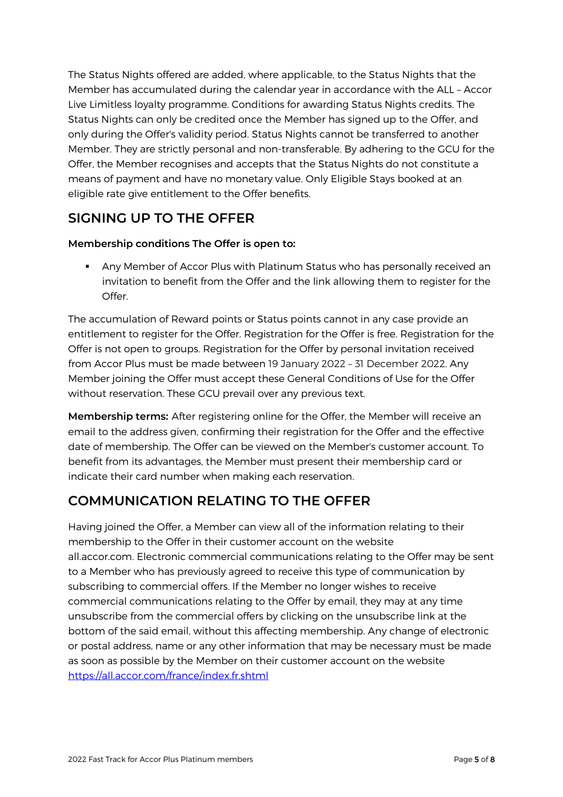The Status Nights offered are added, where applicable, to the Status Nights that the Member has accumulated during the calendar year in accordance with the ALL – Accor Live Limitless loyalty programme. Conditions for awarding Status Nights credits. The Status Nights can only be credited once the Member has signed up to the Offer, and only during the Offer's validity period. Status Nights cannot be transferred to another Member. They are strictly personal and non-transferable. By adhering to the GCU for the Offer, the Member recognises and accepts that the Status Nights do not constitute a means of payment and have no monetary value. Only Eligible Stays booked at an eligible rate give entitlement to the Offer benefits.

#### **SIGNING UP TO THE OFFER**

#### **Membership conditions The Offer is open to:**

**• Any Member of Accor Plus with Platinum Status who has personally received an** invitation to benefit from the Offer and the link allowing them to register for the Offer.

The accumulation of Reward points or Status points cannot in any case provide an entitlement to register for the Offer. Registration for the Offer is free. Registration for the Offer is not open to groups. Registration for the Offer by personal invitation received from Accor Plus must be made between 19 January 2022 – 31 December 2022. Any Member joining the Offer must accept these General Conditions of Use for the Offer without reservation. These GCU prevail over any previous text.

**Membership terms:** After registering online for the Offer, the Member will receive an email to the address given, confirming their registration for the Offer and the effective date of membership. The Offer can be viewed on the Member's customer account. To benefit from its advantages, the Member must present their membership card or indicate their card number when making each reservation.

#### **COMMUNICATION RELATING TO THE OFFER**

Having joined the Offer, a Member can view all of the information relating to their membership to the Offer in their customer account on the website all.accor.com. Electronic commercial communications relating to the Offer may be sent to a Member who has previously agreed to receive this type of communication by subscribing to commercial offers. If the Member no longer wishes to receive commercial communications relating to the Offer by email, they may at any time unsubscribe from the commercial offers by clicking on the unsubscribe link at the bottom of the said email, without this affecting membership. Any change of electronic or postal address, name or any other information that may be necessary must be made as soon as possible by the Member on their customer account on the website <https://all.accor.com/france/index.fr.shtml>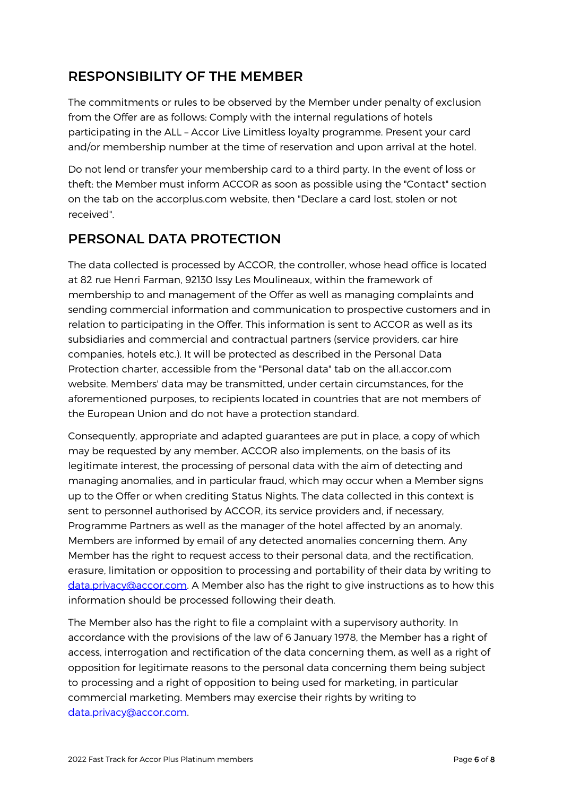## **RESPONSIBILITY OF THE MEMBER**

The commitments or rules to be observed by the Member under penalty of exclusion from the Offer are as follows: Comply with the internal regulations of hotels participating in the ALL – Accor Live Limitless loyalty programme. Present your card and/or membership number at the time of reservation and upon arrival at the hotel.

Do not lend or transfer your membership card to a third party. In the event of loss or theft: the Member must inform ACCOR as soon as possible using the "Contact" section on the tab on the accorplus.com website, then "Declare a card lost, stolen or not received".

#### **PERSONAL DATA PROTECTION**

The data collected is processed by ACCOR, the controller, whose head office is located at 82 rue Henri Farman, 92130 Issy Les Moulineaux, within the framework of membership to and management of the Offer as well as managing complaints and sending commercial information and communication to prospective customers and in relation to participating in the Offer. This information is sent to ACCOR as well as its subsidiaries and commercial and contractual partners (service providers, car hire companies, hotels etc.). It will be protected as described in the Personal Data Protection charter, accessible from the "Personal data" tab on the all.accor.com website. Members' data may be transmitted, under certain circumstances, for the aforementioned purposes, to recipients located in countries that are not members of the European Union and do not have a protection standard.

Consequently, appropriate and adapted guarantees are put in place, a copy of which may be requested by any member. ACCOR also implements, on the basis of its legitimate interest, the processing of personal data with the aim of detecting and managing anomalies, and in particular fraud, which may occur when a Member signs up to the Offer or when crediting Status Nights. The data collected in this context is sent to personnel authorised by ACCOR, its service providers and, if necessary, Programme Partners as well as the manager of the hotel affected by an anomaly. Members are informed by email of any detected anomalies concerning them. Any Member has the right to request access to their personal data, and the rectification, erasure, limitation or opposition to processing and portability of their data by writing to [data.privacy@accor.com.](mailto:data.privacy@accor.com) A Member also has the right to give instructions as to how this information should be processed following their death.

The Member also has the right to file a complaint with a supervisory authority. In accordance with the provisions of the law of 6 January 1978, the Member has a right of access, interrogation and rectification of the data concerning them, as well as a right of opposition for legitimate reasons to the personal data concerning them being subject to processing and a right of opposition to being used for marketing, in particular commercial marketing. Members may exercise their rights by writing to [data.privacy@accor.com.](mailto:data.privacy@accor.com)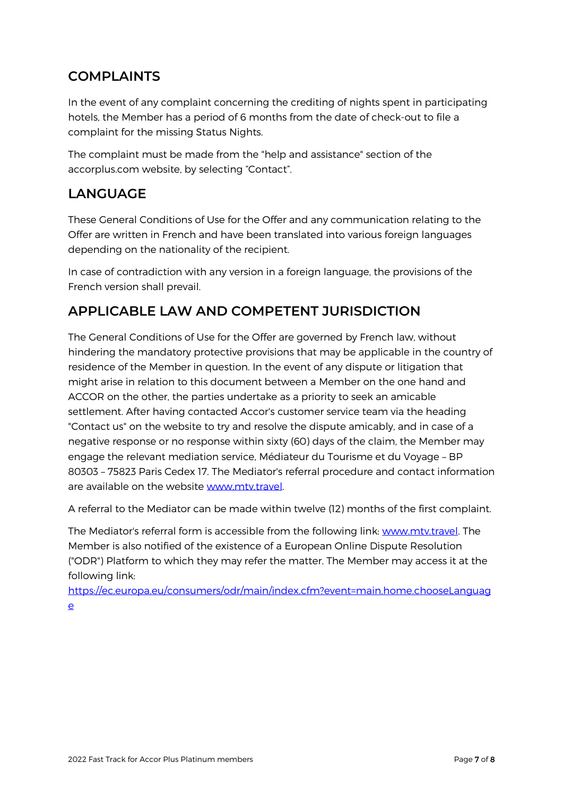## **COMPLAINTS**

In the event of any complaint concerning the crediting of nights spent in participating hotels, the Member has a period of 6 months from the date of check-out to file a complaint for the missing Status Nights.

The complaint must be made from the "help and assistance" section of the accorplus.com website, by selecting "Contact".

## **LANGUAGE**

These General Conditions of Use for the Offer and any communication relating to the Offer are written in French and have been translated into various foreign languages depending on the nationality of the recipient.

In case of contradiction with any version in a foreign language, the provisions of the French version shall prevail.

# **APPLICABLE LAW AND COMPETENT JURISDICTION**

The General Conditions of Use for the Offer are governed by French law, without hindering the mandatory protective provisions that may be applicable in the country of residence of the Member in question. In the event of any dispute or litigation that might arise in relation to this document between a Member on the one hand and ACCOR on the other, the parties undertake as a priority to seek an amicable settlement. After having contacted Accor's customer service team via the heading "Contact us" on the website to try and resolve the dispute amicably, and in case of a negative response or no response within sixty (60) days of the claim, the Member may engage the relevant mediation service, Médiateur du Tourisme et du Voyage – BP 80303 – 75823 Paris Cedex 17. The Mediator's referral procedure and contact information are available on the website [www.mtv.travel.](http://www.mtv.travel/)

A referral to the Mediator can be made within twelve (12) months of the first complaint.

The Mediator's referral form is accessible from the following link: [www.mtv.travel.](http://www.mtv.travel/) The Member is also notified of the existence of a European Online Dispute Resolution ("ODR") Platform to which they may refer the matter. The Member may access it at the following link:

[https://ec.europa.eu/consumers/odr/main/index.cfm?event=main.home.chooseLanguag](https://ec.europa.eu/consumers/odr/main/index.cfm?event=main.home.chooseLanguage) [e](https://ec.europa.eu/consumers/odr/main/index.cfm?event=main.home.chooseLanguage)